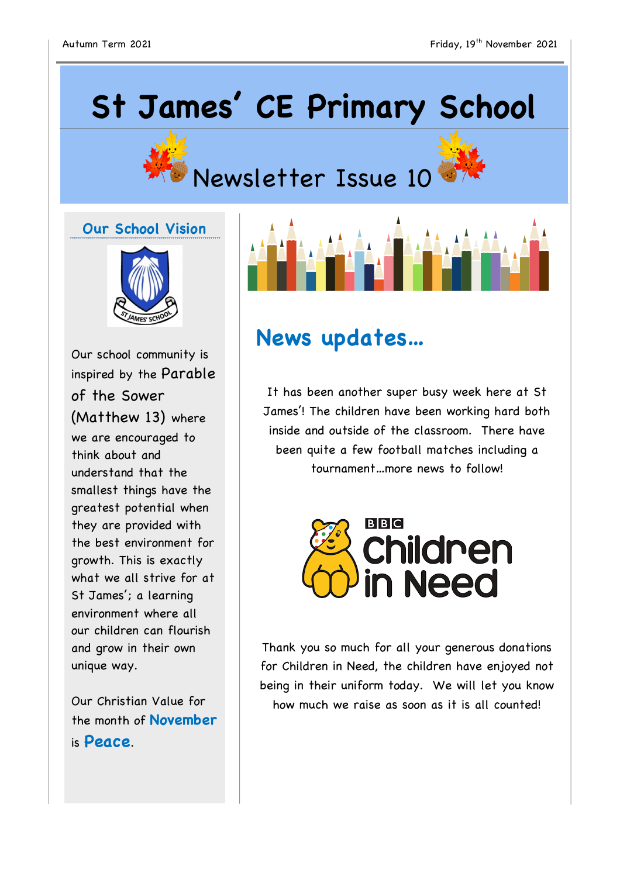# **St James' CE Primary School**





## Newsletter Issue 10

#### **Our School Vision**



Our school community is inspired by the Parable of the Sower (Matthew 13) where we are encouraged to think about and understand that the smallest things have the greatest potential when they are provided with the best environment for growth. This is exactly what we all strive for at St James'; a learning environment where all our children can flourish and grow in their own unique way.

Our Christian Value for the month of **November** is **Peace**.



### **News updates…**

It has been another super busy week here at St James'! The children have been working hard both inside and outside of the classroom. There have been quite a few football matches including a tournament…more news to follow!



Thank you so much for all your generous donations for Children in Need, the children have enjoyed not being in their uniform today. We will let you know how much we raise as soon as it is all counted!